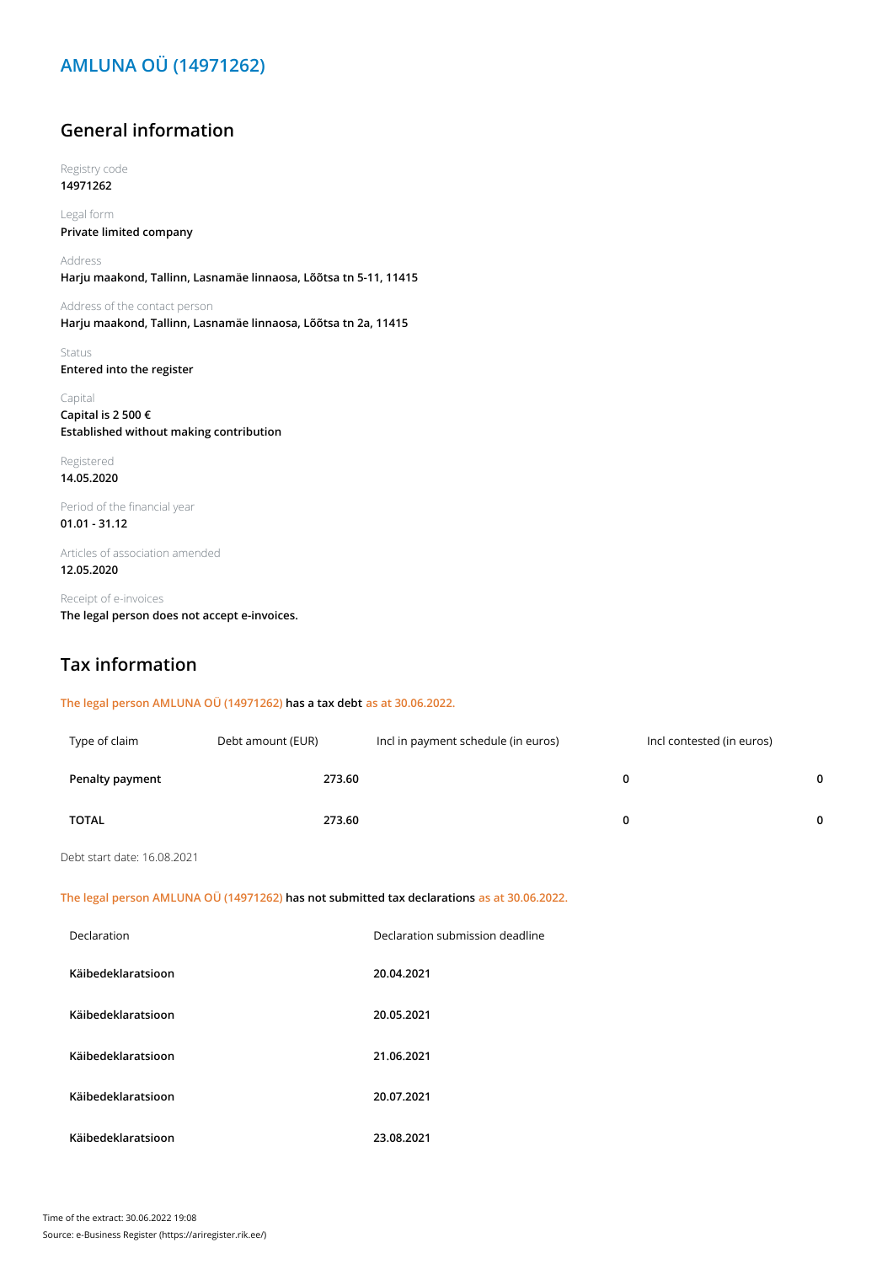## **AMLUNA OÜ (14971262)**

#### **General information**

Registry code **14971262**

Legal form **Private limited company**

Address **Harju maakond, Tallinn, Lasnamäe linnaosa, Lõõtsa tn 5-11, 11415**

Address of the contact person **Harju maakond, Tallinn, Lasnamäe linnaosa, Lõõtsa tn 2a, 11415**

Status **Entered into the register**

Capital **Capital is 2 500 € Established without making contribution**

Registered **14.05.2020**

Period of the financial year **01.01 - 31.12**

Articles of association amended **12.05.2020**

Receipt of e-invoices **The legal person does not accept e-invoices.**

#### **Tax information**

**The legal person AMLUNA OÜ (14971262) has a tax debt as at 30.06.2022.**

| Type of claim   | Debt amount (EUR) | Incl in payment schedule (in euros) | Incl contested (in euros) |              |
|-----------------|-------------------|-------------------------------------|---------------------------|--------------|
| Penalty payment | 273.60            |                                     | 0                         | $\mathbf{0}$ |
| <b>TOTAL</b>    | 273.60            |                                     |                           | $\mathbf{0}$ |

Debt start date: 16.08.2021

**The legal person AMLUNA OÜ (14971262) has not submitted tax declarations as at 30.06.2022.**

| Declaration        | Declaration submission deadline |
|--------------------|---------------------------------|
| Käibedeklaratsioon | 20.04.2021                      |
| Käibedeklaratsioon | 20.05.2021                      |
| Käibedeklaratsioon | 21.06.2021                      |
| Käibedeklaratsioon | 20.07.2021                      |
| Käibedeklaratsioon | 23.08.2021                      |